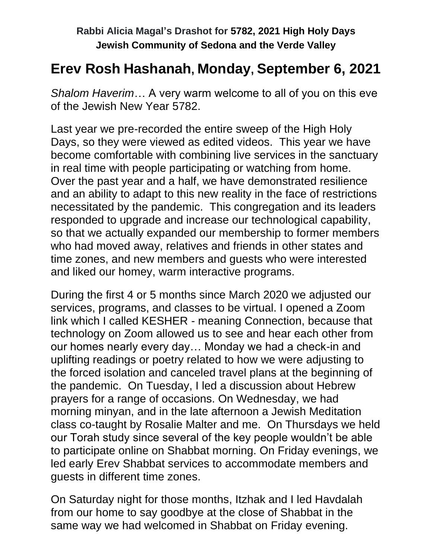## **Erev Rosh Hashanah, Monday, September 6, 2021**

*Shalom Haverim*… A very warm welcome to all of you on this eve of the Jewish New Year 5782.

Last year we pre-recorded the entire sweep of the High Holy Days, so they were viewed as edited videos. This year we have become comfortable with combining live services in the sanctuary in real time with people participating or watching from home. Over the past year and a half, we have demonstrated resilience and an ability to adapt to this new reality in the face of restrictions necessitated by the pandemic. This congregation and its leaders responded to upgrade and increase our technological capability, so that we actually expanded our membership to former members who had moved away, relatives and friends in other states and time zones, and new members and guests who were interested and liked our homey, warm interactive programs.

During the first 4 or 5 months since March 2020 we adjusted our services, programs, and classes to be virtual. I opened a Zoom link which I called KESHER - meaning Connection, because that technology on Zoom allowed us to see and hear each other from our homes nearly every day… Monday we had a check-in and uplifting readings or poetry related to how we were adjusting to the forced isolation and canceled travel plans at the beginning of the pandemic. On Tuesday, I led a discussion about Hebrew prayers for a range of occasions. On Wednesday, we had morning minyan, and in the late afternoon a Jewish Meditation class co-taught by Rosalie Malter and me. On Thursdays we held our Torah study since several of the key people wouldn't be able to participate online on Shabbat morning. On Friday evenings, we led early Erev Shabbat services to accommodate members and guests in different time zones.

On Saturday night for those months, Itzhak and I led Havdalah from our home to say goodbye at the close of Shabbat in the same way we had welcomed in Shabbat on Friday evening.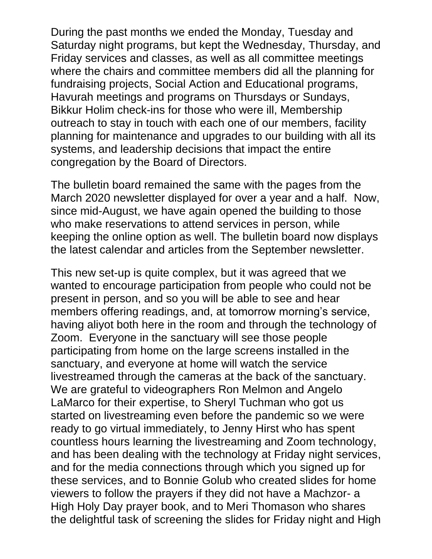During the past months we ended the Monday, Tuesday and Saturday night programs, but kept the Wednesday, Thursday, and Friday services and classes, as well as all committee meetings where the chairs and committee members did all the planning for fundraising projects, Social Action and Educational programs, Havurah meetings and programs on Thursdays or Sundays, Bikkur Holim check-ins for those who were ill, Membership outreach to stay in touch with each one of our members, facility planning for maintenance and upgrades to our building with all its systems, and leadership decisions that impact the entire congregation by the Board of Directors.

The bulletin board remained the same with the pages from the March 2020 newsletter displayed for over a year and a half. Now, since mid-August, we have again opened the building to those who make reservations to attend services in person, while keeping the online option as well. The bulletin board now displays the latest calendar and articles from the September newsletter.

This new set-up is quite complex, but it was agreed that we wanted to encourage participation from people who could not be present in person, and so you will be able to see and hear members offering readings, and, at tomorrow morning's service, having aliyot both here in the room and through the technology of Zoom. Everyone in the sanctuary will see those people participating from home on the large screens installed in the sanctuary, and everyone at home will watch the service livestreamed through the cameras at the back of the sanctuary. We are grateful to videographers Ron Melmon and Angelo LaMarco for their expertise, to Sheryl Tuchman who got us started on livestreaming even before the pandemic so we were ready to go virtual immediately, to Jenny Hirst who has spent countless hours learning the livestreaming and Zoom technology, and has been dealing with the technology at Friday night services, and for the media connections through which you signed up for these services, and to Bonnie Golub who created slides for home viewers to follow the prayers if they did not have a Machzor- a High Holy Day prayer book, and to Meri Thomason who shares the delightful task of screening the slides for Friday night and High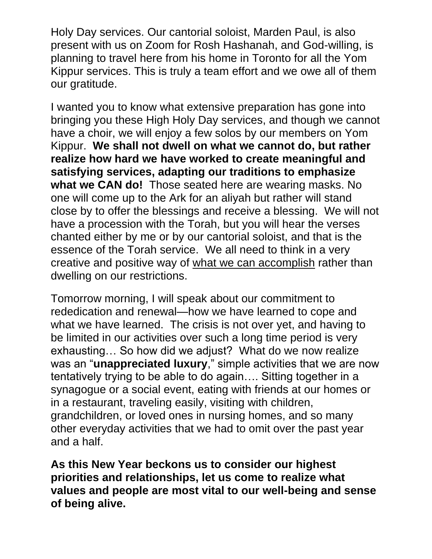Holy Day services. Our cantorial soloist, Marden Paul, is also present with us on Zoom for Rosh Hashanah, and God-willing, is planning to travel here from his home in Toronto for all the Yom Kippur services. This is truly a team effort and we owe all of them our gratitude.

I wanted you to know what extensive preparation has gone into bringing you these High Holy Day services, and though we cannot have a choir, we will enjoy a few solos by our members on Yom Kippur. **We shall not dwell on what we cannot do, but rather realize how hard we have worked to create meaningful and satisfying services, adapting our traditions to emphasize what we CAN do!** Those seated here are wearing masks. No one will come up to the Ark for an aliyah but rather will stand close by to offer the blessings and receive a blessing. We will not have a procession with the Torah, but you will hear the verses chanted either by me or by our cantorial soloist, and that is the essence of the Torah service. We all need to think in a very creative and positive way of what we can accomplish rather than dwelling on our restrictions.

Tomorrow morning, I will speak about our commitment to rededication and renewal—how we have learned to cope and what we have learned. The crisis is not over yet, and having to be limited in our activities over such a long time period is very exhausting… So how did we adjust? What do we now realize was an "**unappreciated luxury**," simple activities that we are now tentatively trying to be able to do again…. Sitting together in a synagogue or a social event, eating with friends at our homes or in a restaurant, traveling easily, visiting with children, grandchildren, or loved ones in nursing homes, and so many other everyday activities that we had to omit over the past year and a half.

**As this New Year beckons us to consider our highest priorities and relationships, let us come to realize what values and people are most vital to our well-being and sense of being alive.**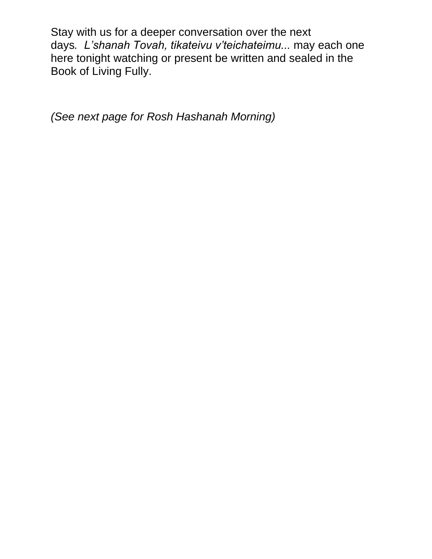Stay with us for a deeper conversation over the next days*. L'shanah Tovah, tikateivu v'teichateimu...* may each one here tonight watching or present be written and sealed in the Book of Living Fully.

*(See next page for Rosh Hashanah Morning)*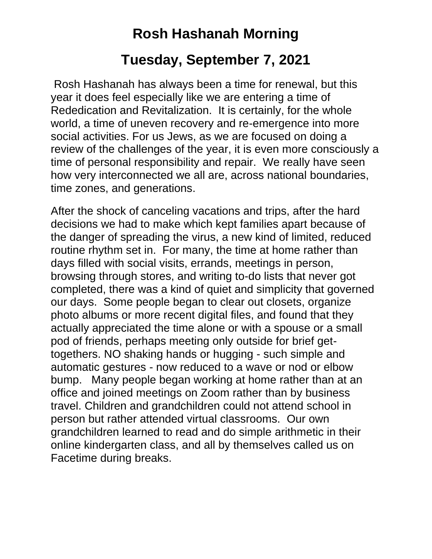# **Rosh Hashanah Morning**

## **Tuesday, September 7, 2021**

Rosh Hashanah has always been a time for renewal, but this year it does feel especially like we are entering a time of Rededication and Revitalization. It is certainly, for the whole world, a time of uneven recovery and re-emergence into more social activities. For us Jews, as we are focused on doing a review of the challenges of the year, it is even more consciously a time of personal responsibility and repair. We really have seen how very interconnected we all are, across national boundaries, time zones, and generations.

After the shock of canceling vacations and trips, after the hard decisions we had to make which kept families apart because of the danger of spreading the virus, a new kind of limited, reduced routine rhythm set in. For many, the time at home rather than days filled with social visits, errands, meetings in person, browsing through stores, and writing to-do lists that never got completed, there was a kind of quiet and simplicity that governed our days. Some people began to clear out closets, organize photo albums or more recent digital files, and found that they actually appreciated the time alone or with a spouse or a small pod of friends, perhaps meeting only outside for brief gettogethers. NO shaking hands or hugging - such simple and automatic gestures - now reduced to a wave or nod or elbow bump. Many people began working at home rather than at an office and joined meetings on Zoom rather than by business travel. Children and grandchildren could not attend school in person but rather attended virtual classrooms. Our own grandchildren learned to read and do simple arithmetic in their online kindergarten class, and all by themselves called us on Facetime during breaks.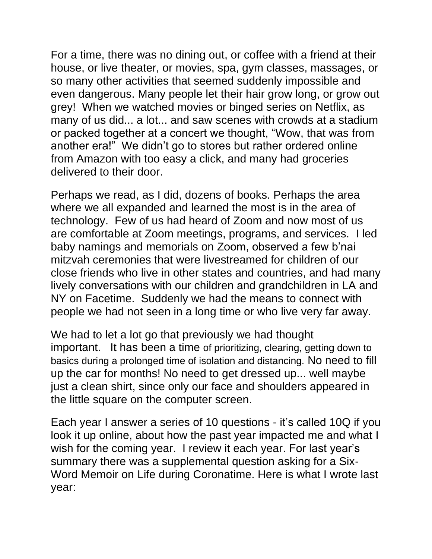For a time, there was no dining out, or coffee with a friend at their house, or live theater, or movies, spa, gym classes, massages, or so many other activities that seemed suddenly impossible and even dangerous. Many people let their hair grow long, or grow out grey! When we watched movies or binged series on Netflix, as many of us did... a lot... and saw scenes with crowds at a stadium or packed together at a concert we thought, "Wow, that was from another era!" We didn't go to stores but rather ordered online from Amazon with too easy a click, and many had groceries delivered to their door.

Perhaps we read, as I did, dozens of books. Perhaps the area where we all expanded and learned the most is in the area of technology. Few of us had heard of Zoom and now most of us are comfortable at Zoom meetings, programs, and services. I led baby namings and memorials on Zoom, observed a few b'nai mitzvah ceremonies that were livestreamed for children of our close friends who live in other states and countries, and had many lively conversations with our children and grandchildren in LA and NY on Facetime. Suddenly we had the means to connect with people we had not seen in a long time or who live very far away.

We had to let a lot go that previously we had thought important. It has been a time of prioritizing, clearing, getting down to basics during a prolonged time of isolation and distancing. No need to fill up the car for months! No need to get dressed up... well maybe just a clean shirt, since only our face and shoulders appeared in the little square on the computer screen.

Each year I answer a series of 10 questions - it's called 10Q if you look it up online, about how the past year impacted me and what I wish for the coming year. I review it each year. For last year's summary there was a supplemental question asking for a Six-Word Memoir on Life during Coronatime. Here is what I wrote last year: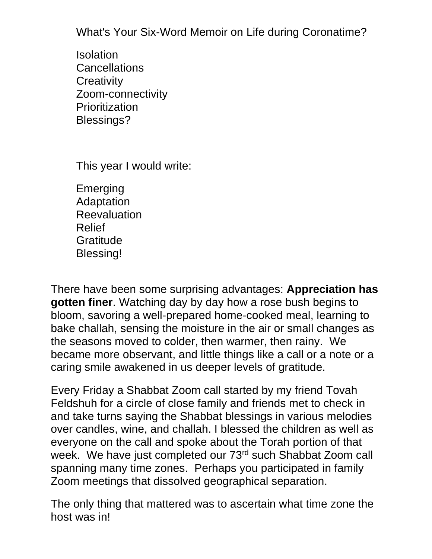What's Your Six-Word Memoir on Life during Coronatime?

Isolation **Cancellations Creativity** Zoom-connectivity **Prioritization** Blessings?

This year I would write:

Emerging Adaptation Reevaluation Relief Gratitude Blessing!

There have been some surprising advantages: **Appreciation has gotten finer**. Watching day by day how a rose bush begins to bloom, savoring a well-prepared home-cooked meal, learning to bake challah, sensing the moisture in the air or small changes as the seasons moved to colder, then warmer, then rainy. We became more observant, and little things like a call or a note or a caring smile awakened in us deeper levels of gratitude.

Every Friday a Shabbat Zoom call started by my friend Tovah Feldshuh for a circle of close family and friends met to check in and take turns saying the Shabbat blessings in various melodies over candles, wine, and challah. I blessed the children as well as everyone on the call and spoke about the Torah portion of that week. We have just completed our 73<sup>rd</sup> such Shabbat Zoom call spanning many time zones. Perhaps you participated in family Zoom meetings that dissolved geographical separation.

The only thing that mattered was to ascertain what time zone the host was in!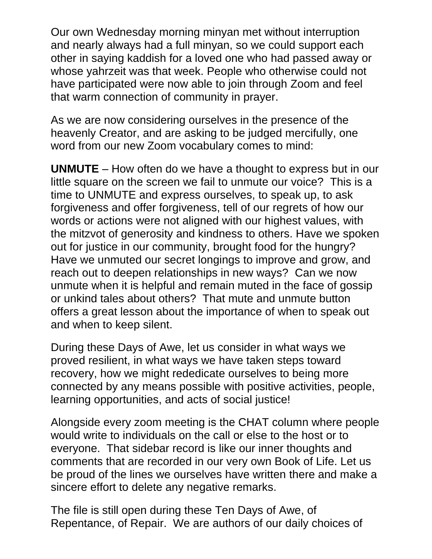Our own Wednesday morning minyan met without interruption and nearly always had a full minyan, so we could support each other in saying kaddish for a loved one who had passed away or whose yahrzeit was that week. People who otherwise could not have participated were now able to join through Zoom and feel that warm connection of community in prayer.

As we are now considering ourselves in the presence of the heavenly Creator, and are asking to be judged mercifully, one word from our new Zoom vocabulary comes to mind:

**UNMUTE** – How often do we have a thought to express but in our little square on the screen we fail to unmute our voice? This is a time to UNMUTE and express ourselves, to speak up, to ask forgiveness and offer forgiveness, tell of our regrets of how our words or actions were not aligned with our highest values, with the mitzvot of generosity and kindness to others. Have we spoken out for justice in our community, brought food for the hungry? Have we unmuted our secret longings to improve and grow, and reach out to deepen relationships in new ways? Can we now unmute when it is helpful and remain muted in the face of gossip or unkind tales about others? That mute and unmute button offers a great lesson about the importance of when to speak out and when to keep silent.

During these Days of Awe, let us consider in what ways we proved resilient, in what ways we have taken steps toward recovery, how we might rededicate ourselves to being more connected by any means possible with positive activities, people, learning opportunities, and acts of social justice!

Alongside every zoom meeting is the CHAT column where people would write to individuals on the call or else to the host or to everyone. That sidebar record is like our inner thoughts and comments that are recorded in our very own Book of Life. Let us be proud of the lines we ourselves have written there and make a sincere effort to delete any negative remarks.

The file is still open during these Ten Days of Awe, of Repentance, of Repair. We are authors of our daily choices of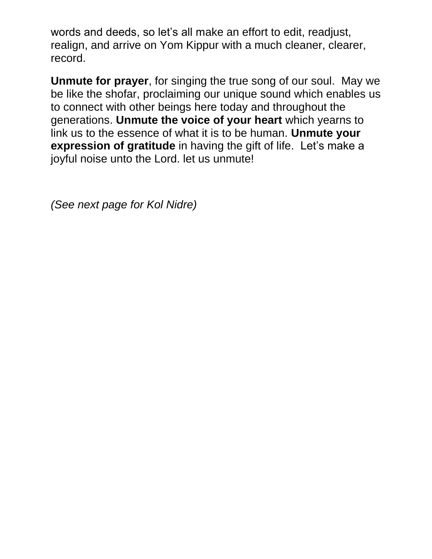words and deeds, so let's all make an effort to edit, readjust, realign, and arrive on Yom Kippur with a much cleaner, clearer, record.

**Unmute for prayer**, for singing the true song of our soul. May we be like the shofar, proclaiming our unique sound which enables us to connect with other beings here today and throughout the generations. **Unmute the voice of your heart** which yearns to link us to the essence of what it is to be human. **Unmute your expression of gratitude** in having the gift of life. Let's make a joyful noise unto the Lord. let us unmute!

*(See next page for Kol Nidre)*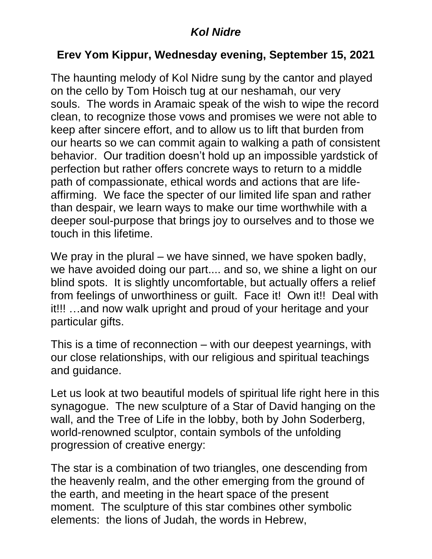#### *Kol Nidre*

### **Erev Yom Kippur, Wednesday evening, September 15, 2021**

The haunting melody of Kol Nidre sung by the cantor and played on the cello by Tom Hoisch tug at our neshamah, our very souls. The words in Aramaic speak of the wish to wipe the record clean, to recognize those vows and promises we were not able to keep after sincere effort, and to allow us to lift that burden from our hearts so we can commit again to walking a path of consistent behavior. Our tradition doesn't hold up an impossible yardstick of perfection but rather offers concrete ways to return to a middle path of compassionate, ethical words and actions that are lifeaffirming. We face the specter of our limited life span and rather than despair, we learn ways to make our time worthwhile with a deeper soul-purpose that brings joy to ourselves and to those we touch in this lifetime.

We pray in the plural – we have sinned, we have spoken badly, we have avoided doing our part.... and so, we shine a light on our blind spots. It is slightly uncomfortable, but actually offers a relief from feelings of unworthiness or guilt. Face it! Own it!! Deal with it!!! …and now walk upright and proud of your heritage and your particular gifts.

This is a time of reconnection – with our deepest yearnings, with our close relationships, with our religious and spiritual teachings and guidance.

Let us look at two beautiful models of spiritual life right here in this synagogue. The new sculpture of a Star of David hanging on the wall, and the Tree of Life in the lobby, both by John Soderberg, world-renowned sculptor, contain symbols of the unfolding progression of creative energy:

The star is a combination of two triangles, one descending from the heavenly realm, and the other emerging from the ground of the earth, and meeting in the heart space of the present moment. The sculpture of this star combines other symbolic elements: the lions of Judah, the words in Hebrew,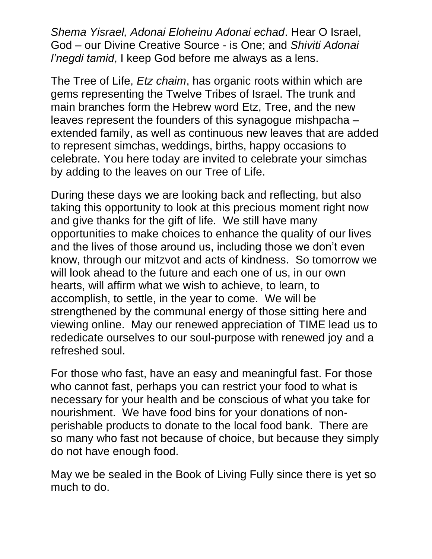*Shema Yisrael, Adonai Eloheinu Adonai echad*. Hear O Israel, God – our Divine Creative Source - is One; and *Shiviti Adonai l'negdi tamid*, I keep God before me always as a lens.

The Tree of Life, *Etz chaim*, has organic roots within which are gems representing the Twelve Tribes of Israel. The trunk and main branches form the Hebrew word Etz, Tree, and the new leaves represent the founders of this synagogue mishpacha – extended family, as well as continuous new leaves that are added to represent simchas, weddings, births, happy occasions to celebrate. You here today are invited to celebrate your simchas by adding to the leaves on our Tree of Life.

During these days we are looking back and reflecting, but also taking this opportunity to look at this precious moment right now and give thanks for the gift of life. We still have many opportunities to make choices to enhance the quality of our lives and the lives of those around us, including those we don't even know, through our mitzvot and acts of kindness. So tomorrow we will look ahead to the future and each one of us, in our own hearts, will affirm what we wish to achieve, to learn, to accomplish, to settle, in the year to come. We will be strengthened by the communal energy of those sitting here and viewing online. May our renewed appreciation of TIME lead us to rededicate ourselves to our soul-purpose with renewed joy and a refreshed soul.

For those who fast, have an easy and meaningful fast. For those who cannot fast, perhaps you can restrict your food to what is necessary for your health and be conscious of what you take for nourishment. We have food bins for your donations of nonperishable products to donate to the local food bank. There are so many who fast not because of choice, but because they simply do not have enough food.

May we be sealed in the Book of Living Fully since there is yet so much to do.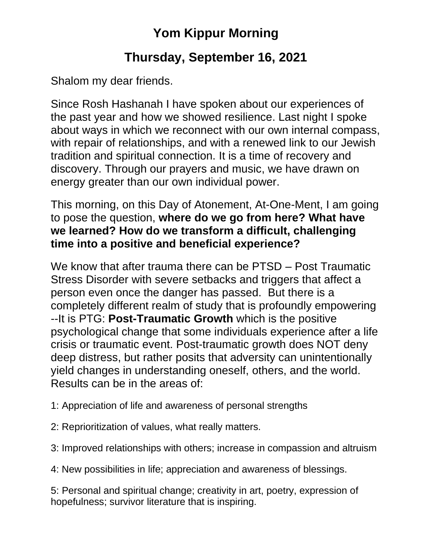# **Yom Kippur Morning**

### **Thursday, September 16, 2021**

Shalom my dear friends.

Since Rosh Hashanah I have spoken about our experiences of the past year and how we showed resilience. Last night I spoke about ways in which we reconnect with our own internal compass, with repair of relationships, and with a renewed link to our Jewish tradition and spiritual connection. It is a time of recovery and discovery. Through our prayers and music, we have drawn on energy greater than our own individual power.

This morning, on this Day of Atonement, At-One-Ment, I am going to pose the question, **where do we go from here? What have we learned? How do we transform a difficult, challenging time into a positive and beneficial experience?**

We know that after trauma there can be PTSD – Post Traumatic Stress Disorder with severe setbacks and triggers that affect a person even once the danger has passed. But there is a completely different realm of study that is profoundly empowering --It is PTG: **Post-Traumatic Growth** which is the positive psychological change that some individuals experience after a life crisis or traumatic event. Post-traumatic growth does NOT deny deep distress, but rather posits that adversity can unintentionally yield changes in understanding oneself, others, and the world. Results can be in the areas of:

1: Appreciation of life and awareness of personal strengths

- 2: Reprioritization of values, what really matters.
- 3: Improved relationships with others; increase in compassion and altruism

4: New possibilities in life; appreciation and awareness of blessings.

5: Personal and spiritual change; creativity in art, poetry, expression of hopefulness; survivor literature that is inspiring.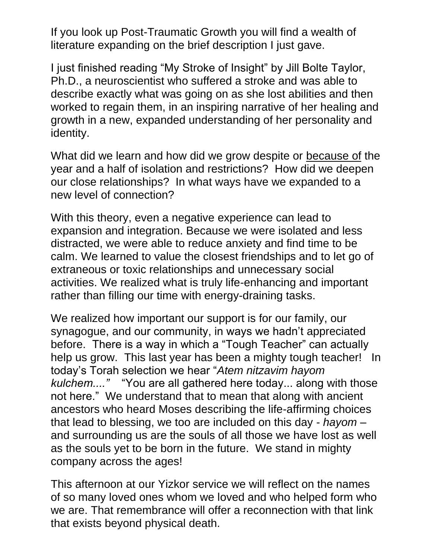If you look up Post-Traumatic Growth you will find a wealth of literature expanding on the brief description I just gave.

I just finished reading "My Stroke of Insight" by Jill Bolte Taylor, Ph.D., a neuroscientist who suffered a stroke and was able to describe exactly what was going on as she lost abilities and then worked to regain them, in an inspiring narrative of her healing and growth in a new, expanded understanding of her personality and identity.

What did we learn and how did we grow despite or because of the year and a half of isolation and restrictions? How did we deepen our close relationships? In what ways have we expanded to a new level of connection?

With this theory, even a negative experience can lead to expansion and integration. Because we were isolated and less distracted, we were able to reduce anxiety and find time to be calm. We learned to value the closest friendships and to let go of extraneous or toxic relationships and unnecessary social activities. We realized what is truly life-enhancing and important rather than filling our time with energy-draining tasks.

We realized how important our support is for our family, our synagogue, and our community, in ways we hadn't appreciated before. There is a way in which a "Tough Teacher" can actually help us grow. This last year has been a mighty tough teacher! In today's Torah selection we hear "*Atem nitzavim hayom kulchem...."* "You are all gathered here today... along with those not here." We understand that to mean that along with ancient ancestors who heard Moses describing the life-affirming choices that lead to blessing, we too are included on this day - *hayom* – and surrounding us are the souls of all those we have lost as well as the souls yet to be born in the future. We stand in mighty company across the ages!

This afternoon at our Yizkor service we will reflect on the names of so many loved ones whom we loved and who helped form who we are. That remembrance will offer a reconnection with that link that exists beyond physical death.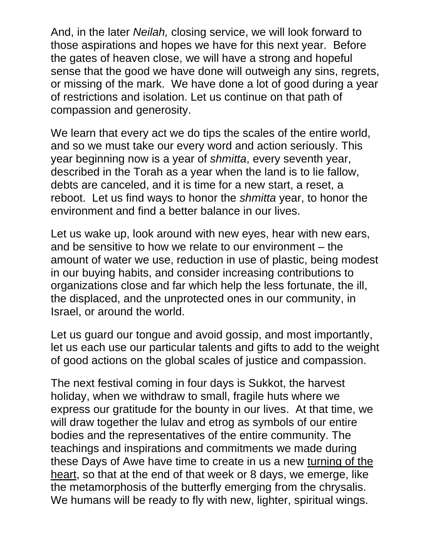And, in the later *Neilah,* closing service, we will look forward to those aspirations and hopes we have for this next year. Before the gates of heaven close, we will have a strong and hopeful sense that the good we have done will outweigh any sins, regrets, or missing of the mark. We have done a lot of good during a year of restrictions and isolation. Let us continue on that path of compassion and generosity.

We learn that every act we do tips the scales of the entire world, and so we must take our every word and action seriously. This year beginning now is a year of *shmitta*, every seventh year, described in the Torah as a year when the land is to lie fallow, debts are canceled, and it is time for a new start, a reset, a reboot. Let us find ways to honor the *shmitta* year, to honor the environment and find a better balance in our lives.

Let us wake up, look around with new eyes, hear with new ears, and be sensitive to how we relate to our environment – the amount of water we use, reduction in use of plastic, being modest in our buying habits, and consider increasing contributions to organizations close and far which help the less fortunate, the ill, the displaced, and the unprotected ones in our community, in Israel, or around the world.

Let us guard our tongue and avoid gossip, and most importantly, let us each use our particular talents and gifts to add to the weight of good actions on the global scales of justice and compassion.

The next festival coming in four days is Sukkot, the harvest holiday, when we withdraw to small, fragile huts where we express our gratitude for the bounty in our lives. At that time, we will draw together the lulav and etrog as symbols of our entire bodies and the representatives of the entire community. The teachings and inspirations and commitments we made during these Days of Awe have time to create in us a new turning of the heart, so that at the end of that week or 8 days, we emerge, like the metamorphosis of the butterfly emerging from the chrysalis. We humans will be ready to fly with new, lighter, spiritual wings.